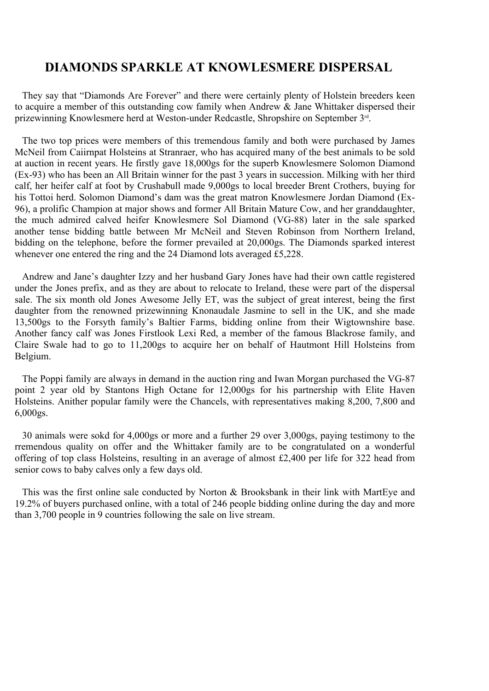## **DIAMONDS SPARKLE AT KNOWLESMERE DISPERSAL**

They say that "Diamonds Are Forever" and there were certainly plenty of Holstein breeders keen to acquire a member of this outstanding cow family when Andrew  $\&$  Jane Whittaker dispersed their prizewinning Knowlesmere herd at Weston-under Redcastle, Shropshire on September 3<sup>rd</sup>. .

The two top prices were members of this tremendous family and both were purchased by James McNeil from Caiirnpat Holsteins at Stranraer, who has acquired many of the best animals to be sold at auction in recent years. He firstly gave 18,000gs for the superb Knowlesmere Solomon Diamond (Ex-93) who has been an All Britain winner for the past 3 years in succession. Milking with her third calf, her heifer calf at foot by Crushabull made 9,000gs to local breeder Brent Crothers, buying for his Tottoi herd. Solomon Diamond's dam was the great matron Knowlesmere Jordan Diamond (Ex-96), a prolific Champion at major shows and former All Britain Mature Cow, and her granddaughter, the much admired calved heifer Knowlesmere Sol Diamond (VG-88) later in the sale sparked another tense bidding battle between Mr McNeil and Steven Robinson from Northern Ireland, bidding on the telephone, before the former prevailed at 20,000gs. The Diamonds sparked interest whenever one entered the ring and the 24 Diamond lots averaged £5,228.

Andrew and Jane's daughter Izzy and her husband Gary Jones have had their own cattle registered under the Jones prefix, and as they are about to relocate to Ireland, these were part of the dispersal sale. The six month old Jones Awesome Jelly ET, was the subject of great interest, being the first daughter from the renowned prizewinning Knonaudale Jasmine to sell in the UK, and she made 13,500gs to the Forsyth family's Baltier Farms, bidding online from their Wigtownshire base. Another fancy calf was Jones Firstlook Lexi Red, a member of the famous Blackrose family, and Claire Swale had to go to 11,200gs to acquire her on behalf of Hautmont Hill Holsteins from Belgium.

The Poppi family are always in demand in the auction ring and Iwan Morgan purchased the VG-87 point 2 year old by Stantons High Octane for 12,000gs for his partnership with Elite Haven Holsteins. Anither popular family were the Chancels, with representatives making 8,200, 7,800 and 6,000gs.

30 animals were sokd for 4,000gs or more and a further 29 over 3,000gs, paying testimony to the rremendous quality on offer and the Whittaker family are to be congratulated on a wonderful offering of top class Holsteins, resulting in an average of almost £2,400 per life for 322 head from senior cows to baby calves only a few days old.

This was the first online sale conducted by Norton & Brooksbank in their link with MartEye and 19.2% of buyers purchased online, with a total of 246 people bidding online during the day and more than 3,700 people in 9 countries following the sale on live stream.